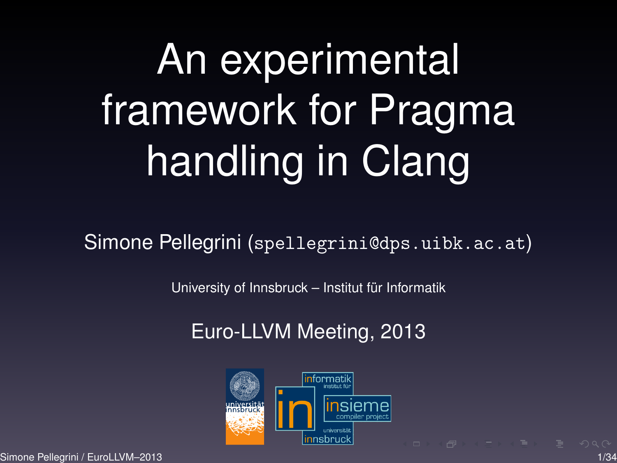# An experimental framework for Pragma handling in Clang

Simone Pellegrini (<spellegrini@dps.uibk.ac.at>)

University of Innsbruck – Institut für Informatik

Euro-LLVM Meeting, 2013

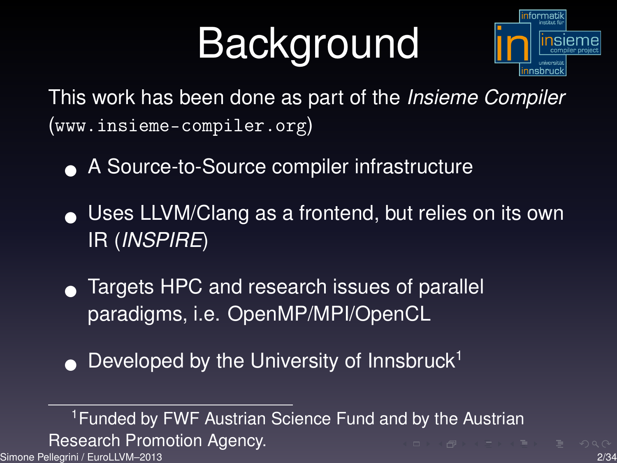# **Background**



This work has been done as part of the *Insieme Compiler* (<www.insieme-compiler.org>)

- A Source-to-Source compiler infrastructure
- Uses LLVM/Clang as a frontend, but relies on its own IR (*INSPIRE*)
- Targets HPC and research issues of parallel paradigms, i.e. OpenMP/MPI/OpenCL
- Developed by the University of Innsbruck<sup>1</sup>

<sup>1</sup> Funded by FWF Austrian Science Fund and by the Austrian Research Promotion Agency. Simone Pellegrini / EuroLLVM–2013 2/34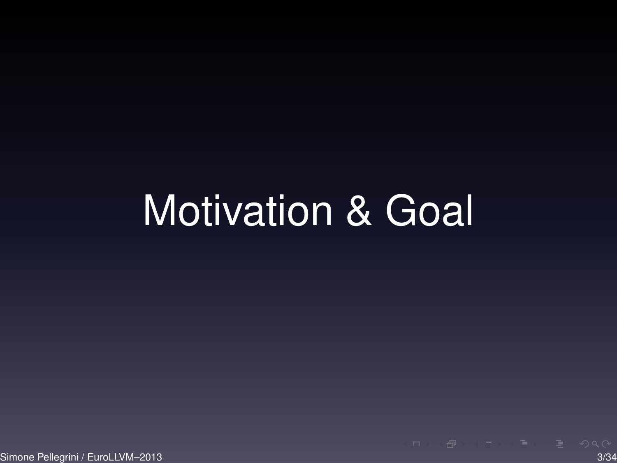## Motivation & Goal

Simone Pellegrini / EuroLLVM–2013 3/34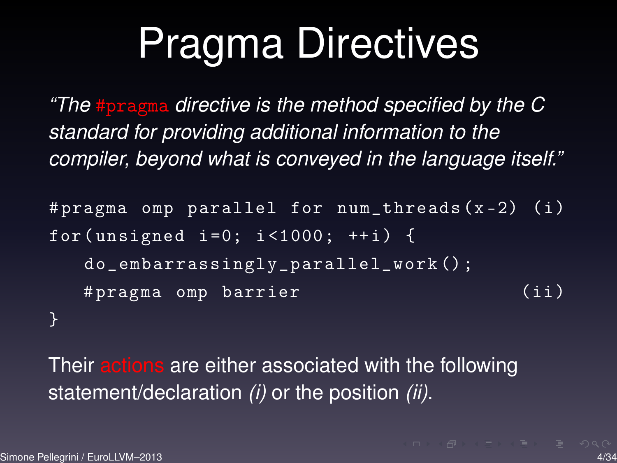# Pragma Directives

*"The* #pragma *directive is the method specified by the C standard for providing additional information to the compiler, beyond what is conveyed in the language itself."*

```
# pragma omp parallel for num_threads (x - 2) (i)
for (unsigned i=0; i < 1000; +i) {
   do_embarrassingly_parallel_work () ;
  # pragma omp barrier ( ii )
}
```
Their actions are either associated with the following statement/declaration *(i)* or the position *(ii)*.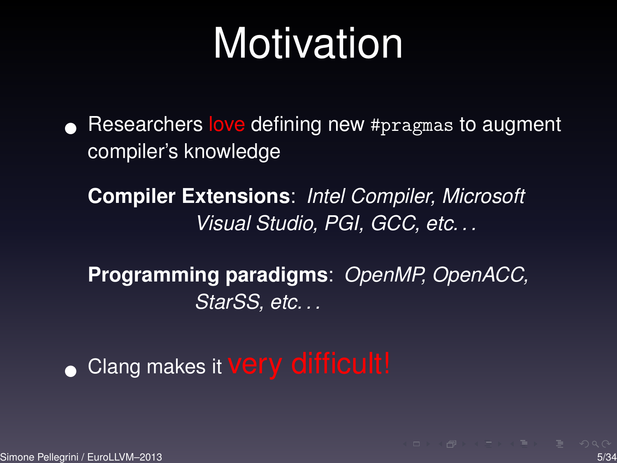# Motivation

- Researchers love defining new #pragmas to augment compiler's knowledge
	- **Compiler Extensions**: *Intel Compiler, Microsoft Visual Studio, PGI, GCC, etc. . .*
	- **Programming paradigms**: *OpenMP, OpenACC, StarSS, etc. . .*

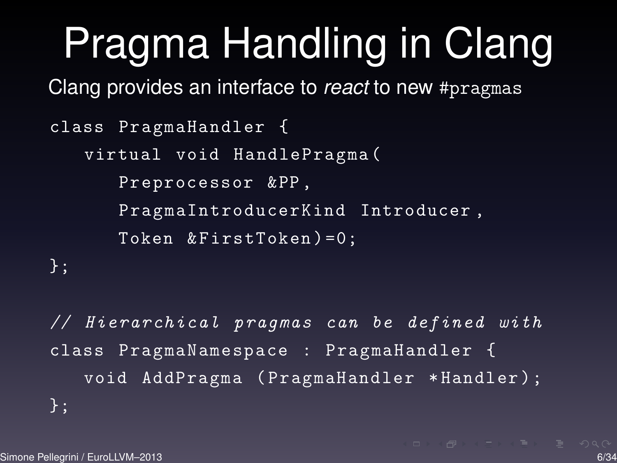# Pragma Handling in Clang

Clang provides an interface to *react* to new #pragmas

```
class PragmaHandler {
   virtual void HandlePragma (
      Preprocessor & PP ,
      PragmaIntroducerKind Introducer ,
      Token & FirstToken ) =0;
};
```
// Hierarchical pragmas can be defined with class PragmaNamespace : PragmaHandler { void AddPragma ( PragmaHandler \* Handler ) ; };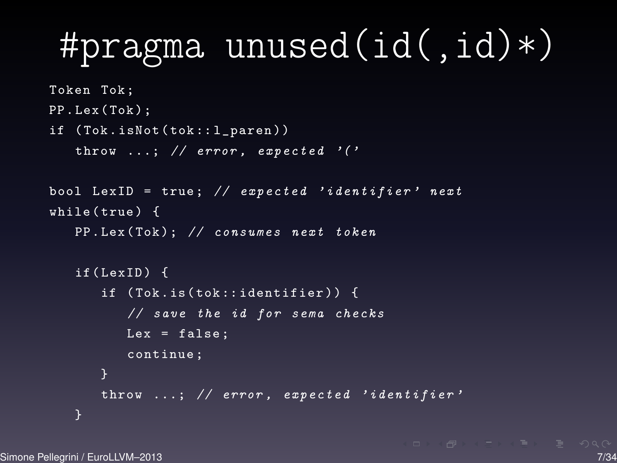#### #pragma unused(id(,id)\*)

```
Token Tok ;
PP.Lex (Tok);
if (Tok.isNot(tok::1_paren))
   throw \dots; // error, expected '('
bool LexID = true; // expected 'identifier' next
while (true) {
   PP.Lex (Tok); // consumes next token
   if (LexID) {
      if ( Tok . is ( tok :: identifier )) {
         // save the id for sema checks
         Lex = false:continue ;
      throw ...; // error, expected 'identifier'
```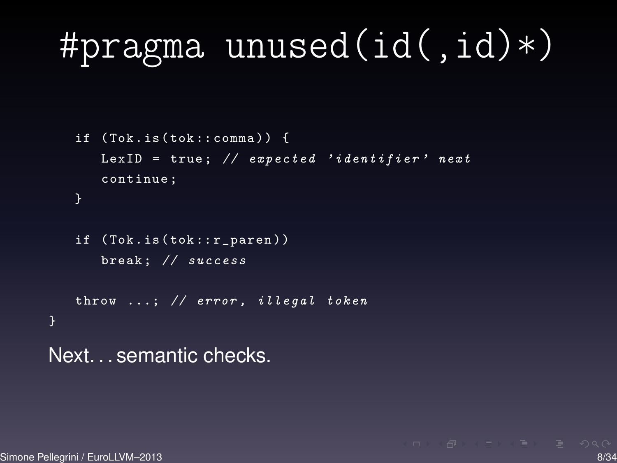#### #pragma unused(id(,id)\*)

```
if ( Tok . is ( tok :: comma )) {
       LexID = true; // expected 'identifier' next
      continue ;
   }
   if ( Tok . is ( tok :: r_paren ))
       break: // success
   throw \ldots; // error, illegal token
Next. . . semantic checks.
```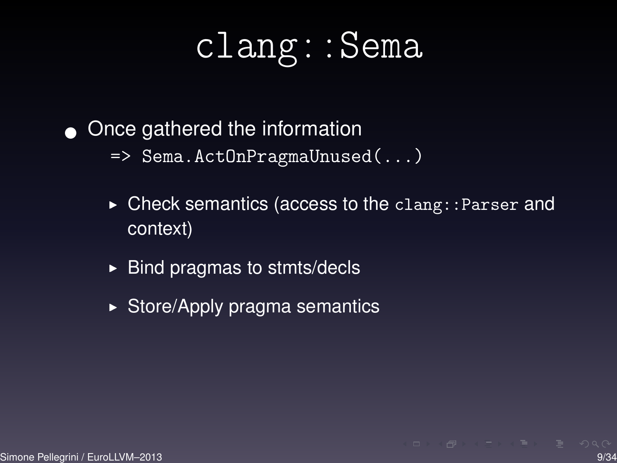#### clang::Sema

#### • Once gathered the information

=> Sema.ActOnPragmaUnused(...)

- $\triangleright$  Check semantics (access to the clang:: Parser and context)
- $\triangleright$  Bind pragmas to stmts/decls
- $\triangleright$  Store/Apply pragma semantics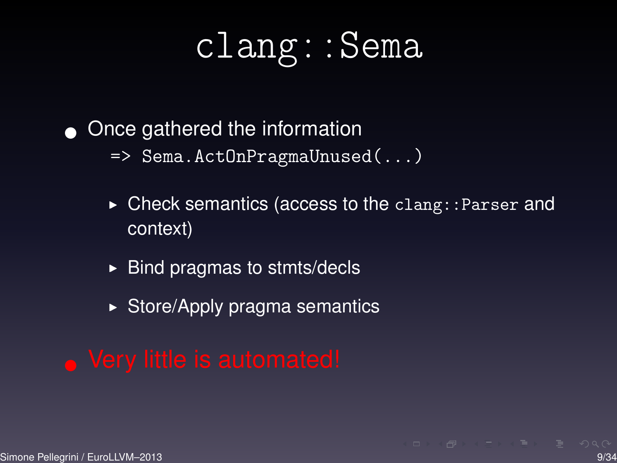#### clang::Sema

#### • Once gathered the information

=> Sema.ActOnPragmaUnused(...)

- $\triangleright$  Check semantics (access to the clang:: Parser and context)
- $\triangleright$  Bind pragmas to stmts/decls
- $\triangleright$  Store/Apply pragma semantics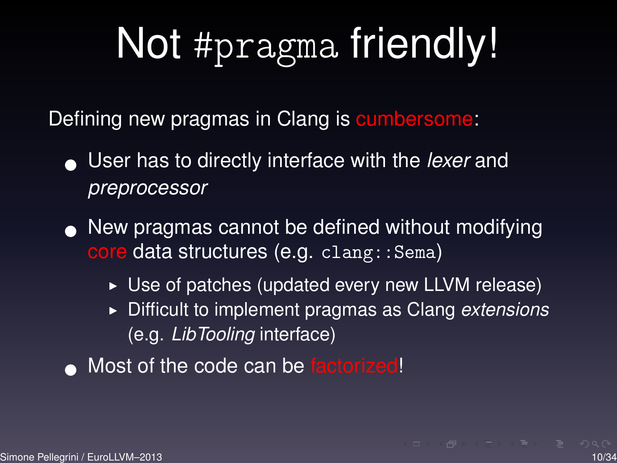# Not #pragma friendly!

Defining new pragmas in Clang is cumbersome:

- User has to directly interface with the *lexer* and *preprocessor*
- New pragmas cannot be defined without modifying core data structures (e.g. clang::Sema)
	- $\triangleright$  Use of patches (updated every new LLVM release)
	- **I.** Difficult to implement pragmas as Clang *extensions* (e.g. *LibTooling* interface)
- Most of the code can be factorized!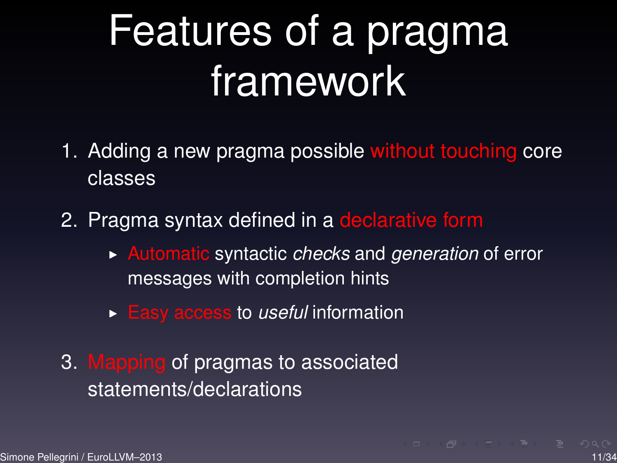# Features of a pragma framework

- 1. Adding a new pragma possible without touching core classes
- 2. Pragma syntax defined in a declarative form
	- ▶ Automatic syntactic *checks* and *generation* of error messages with completion hints
	- **Easy access to** *useful* information

3. Mapping of pragmas to associated statements/declarations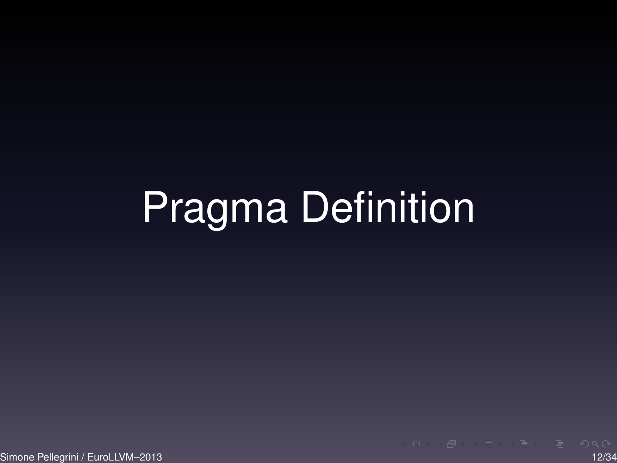# Pragma Definition

Simone Pellegrini / EuroLLVM–2013 12/34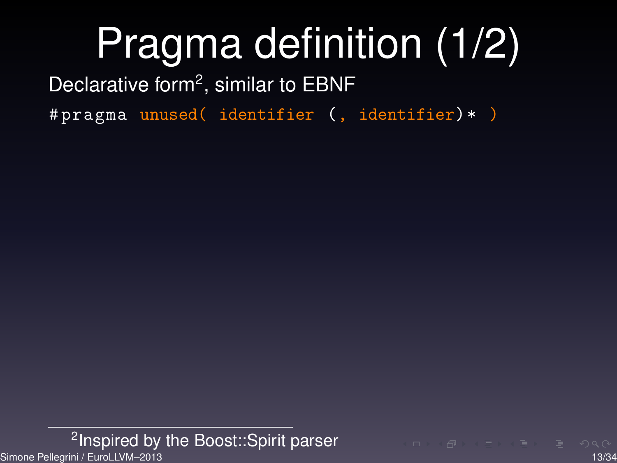# Pragma definition (1/2)

Declarative form<sup>2</sup>, similar to EBNF

# pragma unused (identifier (, identifier) \* )

2 Inspired by the Boost::Spirit parser Simone Pellegrini / EuroLLVM–2013 13/34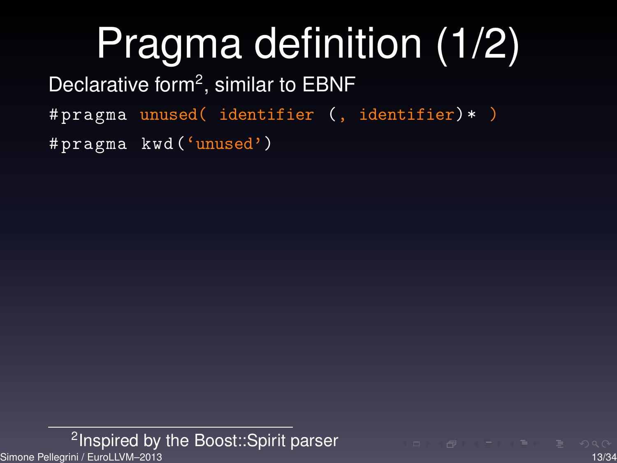# Pragma definition (1/2)

Declarative form<sup>2</sup>, similar to EBNF

# pragma unused (identifier (, identifier) \* )

# pragma kwd ('unused')

2 Inspired by the Boost::Spirit parser Simone Pellegrini / EuroLLVM–2013 13/34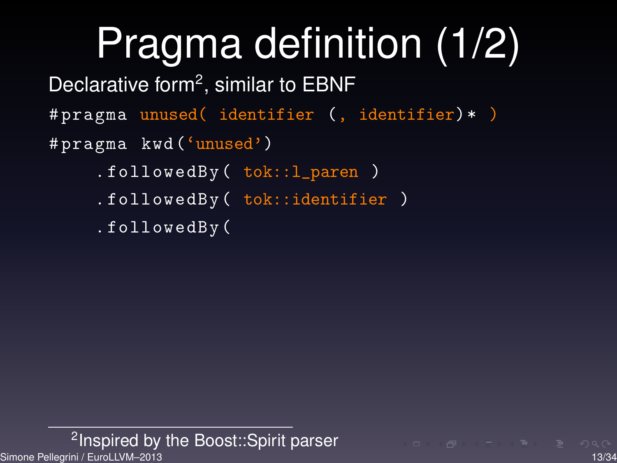# Pragma definition (1/2)

Declarative form<sup>2</sup>, similar to EBNF

# pragma unused (identifier (, identifier) \* )

```
# pragma kwd ('unused')
```

```
. followedBy ( tok::l_paren )
```

```
. followedBy ( tok::identifier )
```

```
. followedBy (
```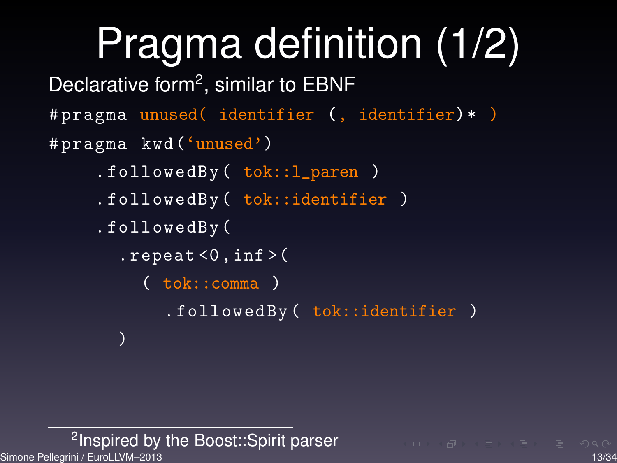```
Pragma definition (1/2)
Declarative form<sup>2</sup>, similar to EBNF
# pragma unused (identifier (, identifier) * )
# pragma kwd ('unused')
     . followedBy ( tok::l_paren )
     . followedBy ( tok::identifier )
     . followedBy (
       . repeat <0, inf > (
         ( tok::comma )
            . followedBy ( tok::identifier )
       )
```
2 Inspired by the Boost::Spirit parser Simone Pellegrini / EuroLLVM–2013 13/34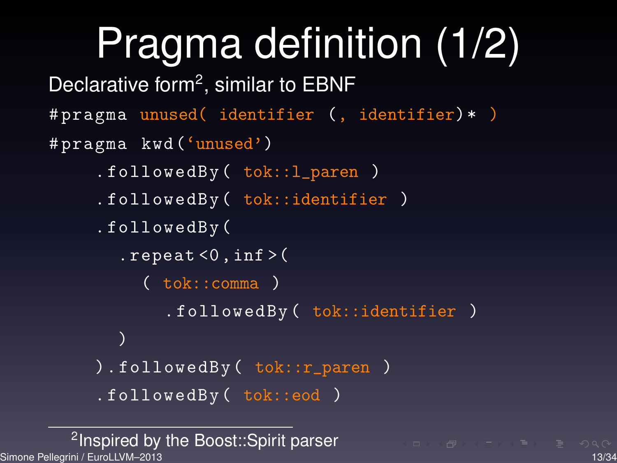```
Pragma definition (1/2)
Declarative form<sup>2</sup>, similar to EBNF
# pragma unused (identifier (, identifier) * )
# pragma kwd ('unused')
     . followedBy ( tok::l_paren )
     . followedBy ( tok::identifier )
     . followedBy (
       r = p at 0, inf (( tok::comma )
            . followedBy ( tok::identifier )
       )
    ). followedBy ( tok::r_paren )
     . followedBy ( tok::eod )
```
2 Inspired by the Boost::Spirit parser Simone Pellegrini / EuroLLVM–2013 13/34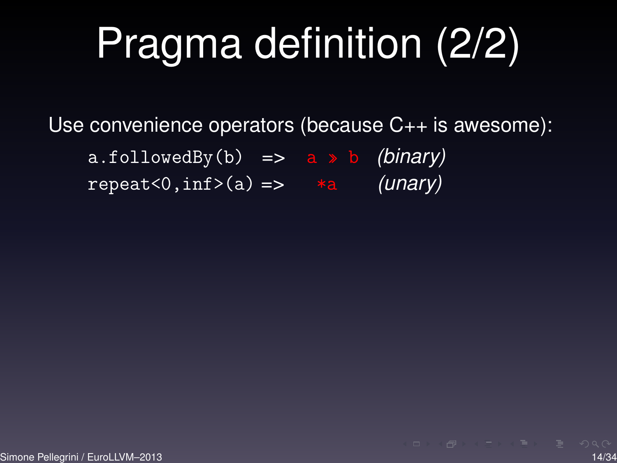# Pragma definition (2/2)

Use convenience operators (because C++ is awesome):

a.followedBy(b) => a » b *(binary)* repeat<0,inf>(a) => \*a *(unary)*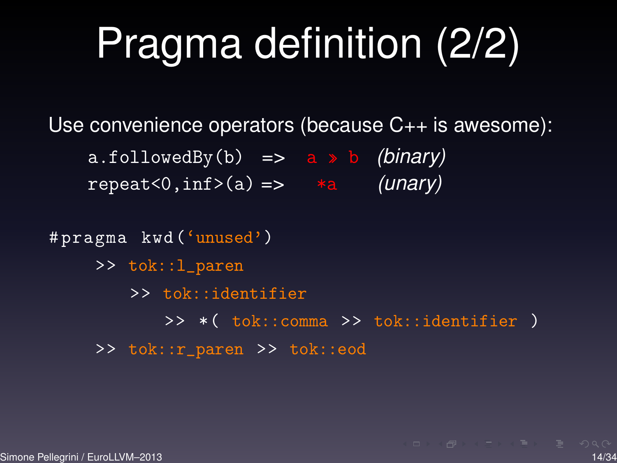# Pragma definition (2/2)

Use convenience operators (because C++ is awesome):

a.followedBy(b) => a » b *(binary)* repeat<0,inf>(a) => \*a *(unary)*

# pragma kwd ('unused') >> tok::l\_paren >> tok::identifier >> \*( tok::comma >> tok::identifier ) >> tok::r\_paren >> tok::eod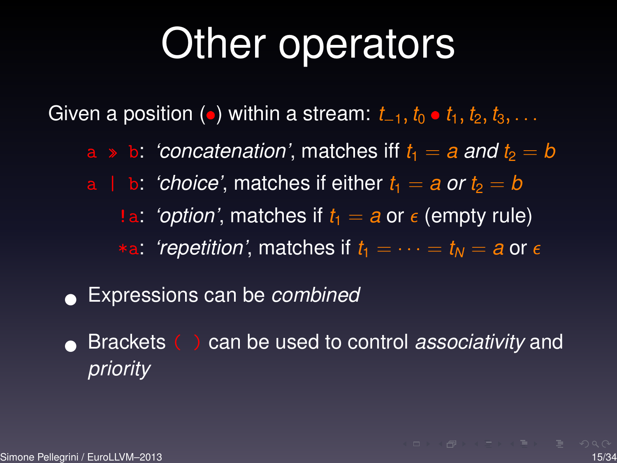# Other operators

Given a position ( $\bullet$ ) within a stream:  $t_{-1}$ ,  $t_0 \bullet t_1$ ,  $t_2$ ,  $t_3$ , ...

- $a \rightarrow b$ : *'concatenation'*, matches if  $t_1 = a$  *and*  $t_2 = b$
- a | b: *'choice'*, matches if either  $t_1 = a$  or  $t_2 = b$ 
	- **la:** 'option', matches if  $t_1 = a$  or  $\epsilon$  (empty rule)

\*a: *'repetition'*, matches if  $t_1 = \cdots = t_N = a$  or  $\epsilon$ 

- Expressions can be *combined*
- Brackets ( ) can be used to control *associativity* and *priority*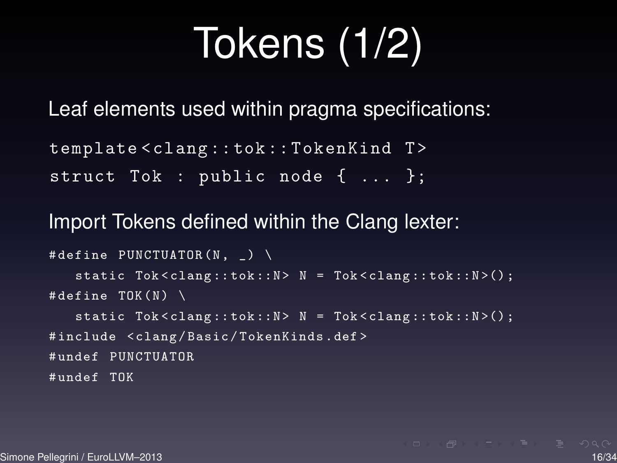# Tokens (1/2)

Leaf elements used within pragma specifications:

```
template < clang :: tok :: TokenKind T >
struct Tok : public node { ... };
```
#### Import Tokens defined within the Clang lexter:

```
#define PUNCTUATOR(N, _) \
   static Tok < clang::tok::N> N = Tok < clang::tok::N>(;
# define TOK(N)static Tok < clang::tok::N> N = Tok < clang::tok::N>(;
# include < clang / Basic / TokenKinds . def >
# undef PUNCTUATOR
# undef TOK
```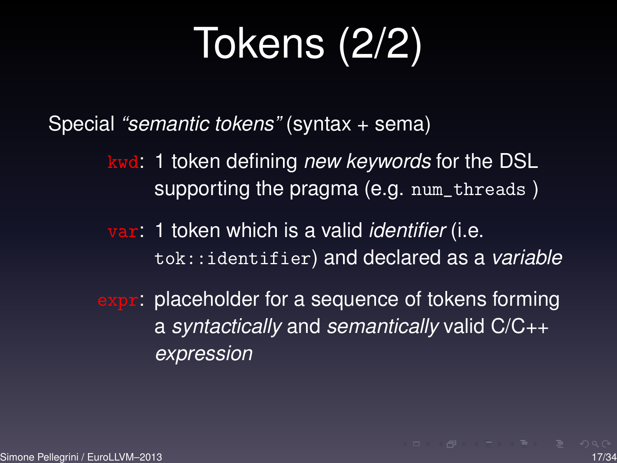# Tokens (2/2)

Special *"semantic tokens"* (syntax + sema)

kwd: 1 token defining *new keywords* for the DSL supporting the pragma (e.g. num\_threads )

var: 1 token which is a valid *identifier* (i.e. tok::identifier) and declared as a *variable*

expr: placeholder for a sequence of tokens forming a *syntactically* and *semantically* valid C/C++ *expression*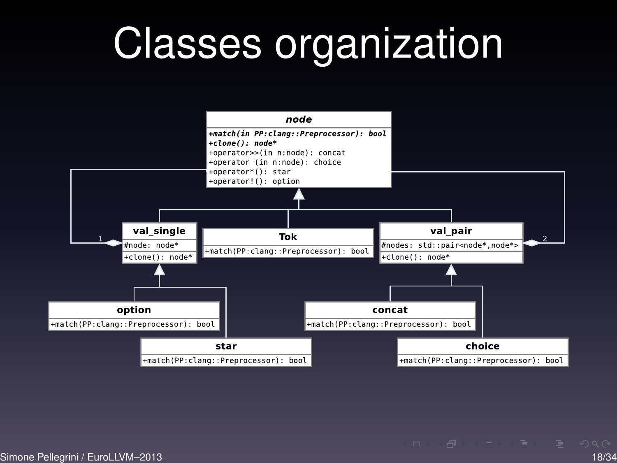# Classes organization

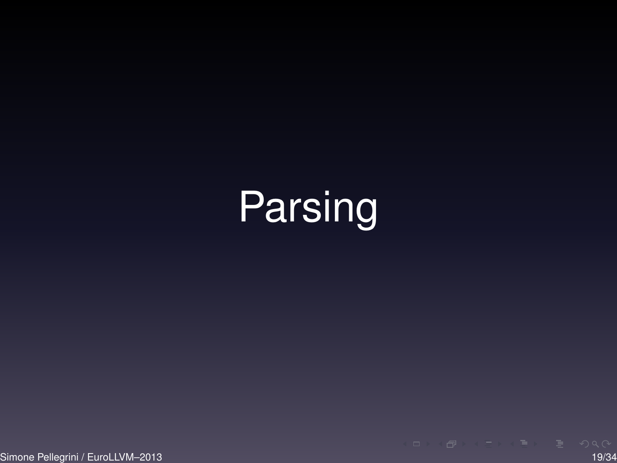# **Parsing**

Simone Pellegrini / EuroLLVM–2013 19/34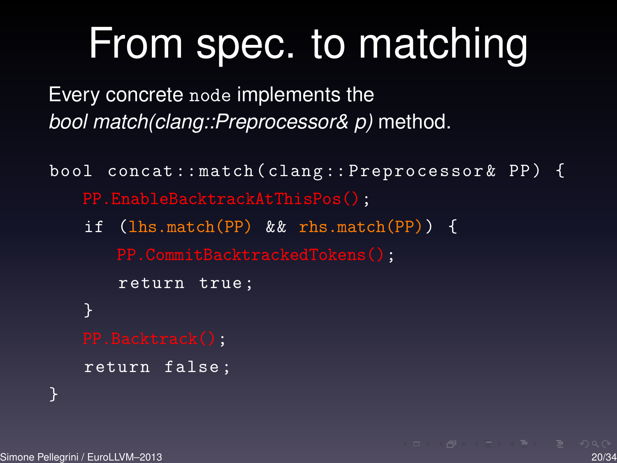# From spec. to matching

Every concrete node implements the *bool match(clang::Preprocessor& p)* method.

```
bool concat:: match ( clang :: Preprocessor & PP) {
   PP.EnableBacktrackAtThisPos();
   if (lhs.match(PP) && rhs.match(PP)) {
       PP.CommitBacktrackedTokens();
       return true ;
   }
   PP.Backtrack();
   return false ;
}
```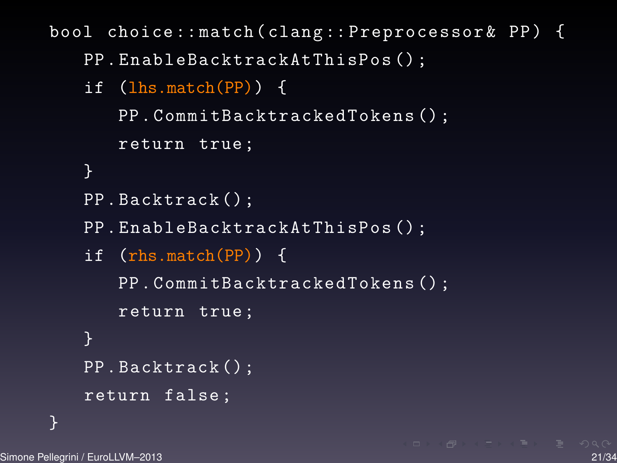bool choice:: match ( clang :: Preprocessor & PP) {

```
PP . EnableBacktrackAtThisPos () ;
```

```
if (lhs.match(PP)) {
   PP . CommitBacktrackedTokens () ;
   return true ;
}
PP . Backtrack () ;
PP . EnableBacktrackAtThisPos () ;
if (rhs.match(PP)) {
   PP . CommitBacktrackedTokens () ;
   return true ;
}
PP . Backtrack () ;
```

```
return false ;
```
}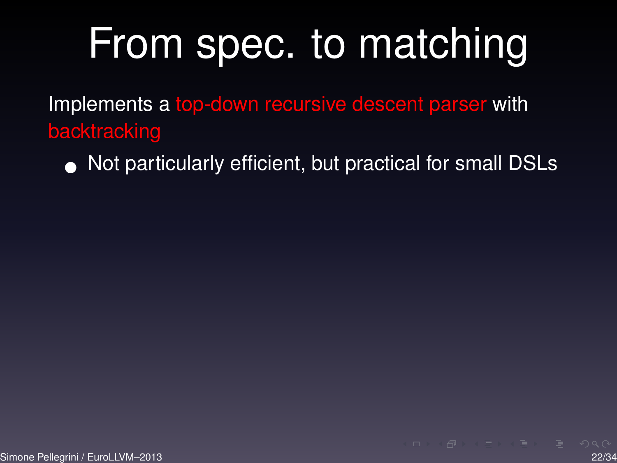# From spec. to matching

Implements a top-down recursive descent parser with backtracking

• Not particularly efficient, but practical for small DSLs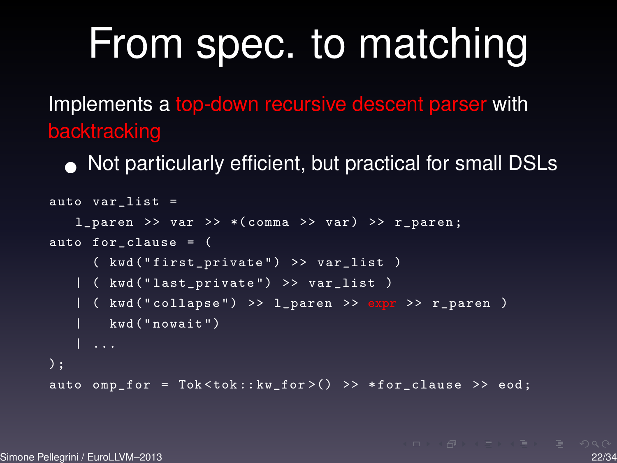# From spec. to matching

Implements a top-down recursive descent parser with backtracking

• Not particularly efficient, but practical for small DSLs

```
\overline{\text{auto } \text{var} \cdot \text{list}} =
   l\_parent >> var >> *(comma >> var) >> r\_parent;
auto for_clause = (
      ( kwd ( " first_private ") >> var_list )
   | ( kwd ("last_private") >> var_list )
   | ( kwd ("collapse") >> l_paren >> expr >> r_paren )
   | kwd (" nowait ")
);
auto omp_for = Tok<tok::kw_for>() >> *for_clause >> eod;
```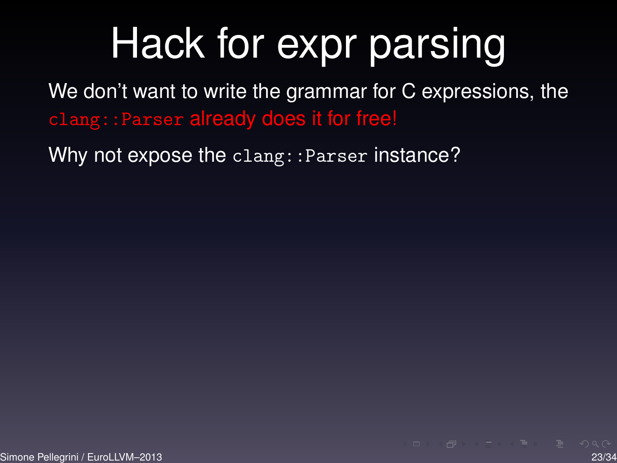# Hack for expr parsing

We don't want to write the grammar for C expressions, the clang::Parser already does it for free!

Why not expose the clang:: Parser instance?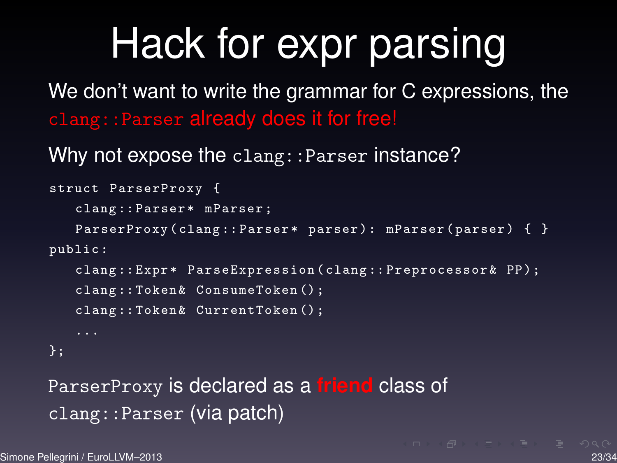# Hack for expr parsing

We don't want to write the grammar for C expressions, the clang::Parser already does it for free!

Why not expose the clang::Parser instance?

```
struct ParserProxy {
   clang :: Parser * mParser ;
   ParserProxy (clang:: Parser * parser): mParser (parser) { }
public :
   clang:: Expr* ParseExpression (clang:: Preprocessor & PP);
   clang :: Token & ConsumeToken () ;
   clang:: Token & Current Token ();
};
```
ParserProxy is declared as a **friend** class of clang::Parser (via patch)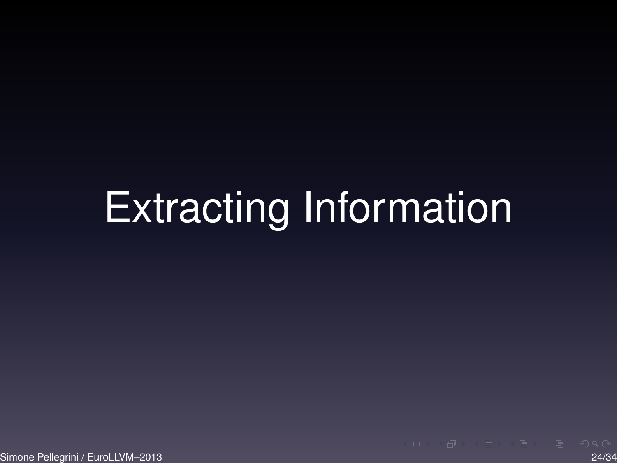# Extracting Information

Simone Pellegrini / EuroLLVM–2013 24/34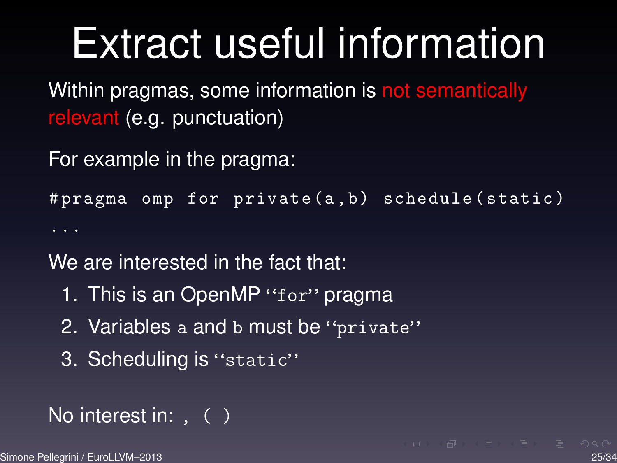# Extract useful information

Within pragmas, some information is not semantically relevant (e.g. punctuation)

For example in the pragma:

# pragma omp for private (a , b) schedule ( static ) ...

We are interested in the fact that:

- 1. This is an OpenMP "for" pragma
- 2. Variables a and b must be "private"
- 3. Scheduling is "static"

```
No interest in: , ( )
```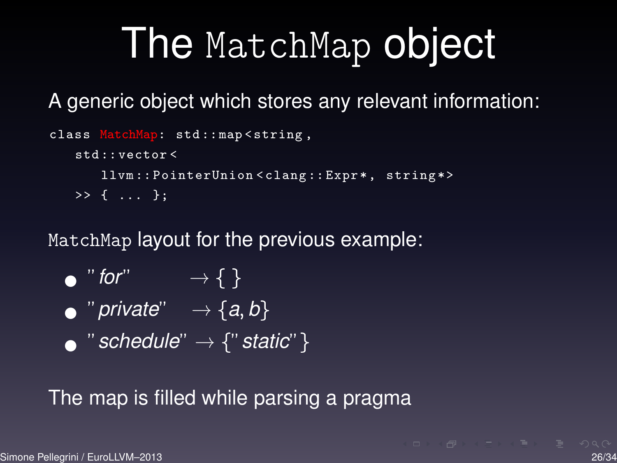## The MatchMap object

A generic object which stores any relevant information:

```
class MatchMap: std:: map < string,
   std :: vector <
       llvm :: PointerUnion < clang :: Expr *, string *>
   \rightarrow { ... };
```
MatchMap layout for the previous example:

- " *for*"  $\rightarrow$  { }
- "*private*"  $\rightarrow \{a, b\}$
- " $s$ *chedule*"  $\rightarrow$  {" $s$ *tatic*"}

#### The map is filled while parsing a pragma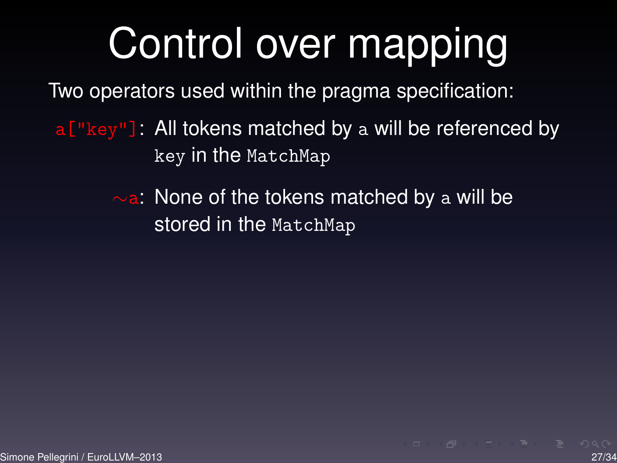# Control over mapping

Two operators used within the pragma specification:

 $a$ ["key"]: All tokens matched by a will be referenced by key in the MatchMap

> $\sim$ a: None of the tokens matched by a will be stored in the MatchMap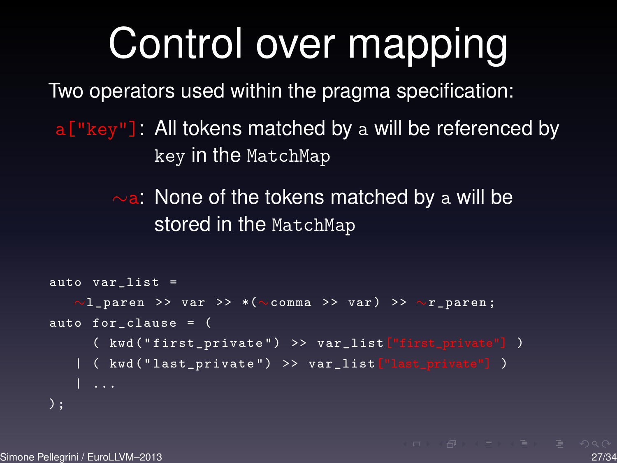# Control over mapping

Two operators used within the pragma specification:

 $a$ ["key"]: All tokens matched by a will be referenced by key in the MatchMap

> $\sim$ a: None of the tokens matched by a will be stored in the MatchMap

```
auto var list =\siml_paren >> var >> *(\simcomma >> var) >> \simr_paren;
auto for_clause = (
     ( kwd ( " first_private ") >> var_list["first_private"] )
   | ( kwd ("last_private") >> var_list ["last_private"] )
```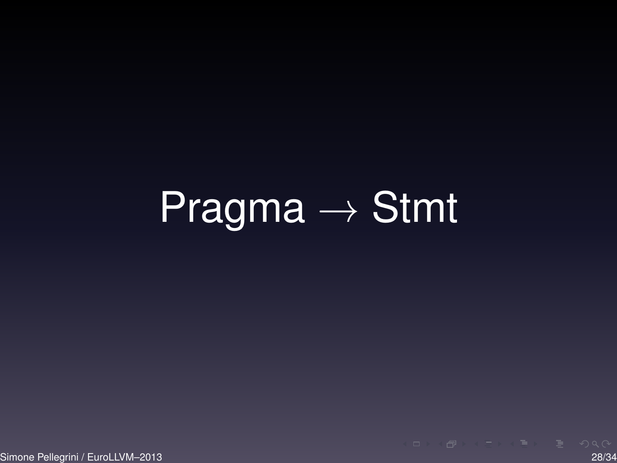## $P$ ragma  $\rightarrow$  Stmt

Simone Pellegrini / EuroLLVM–2013 28/34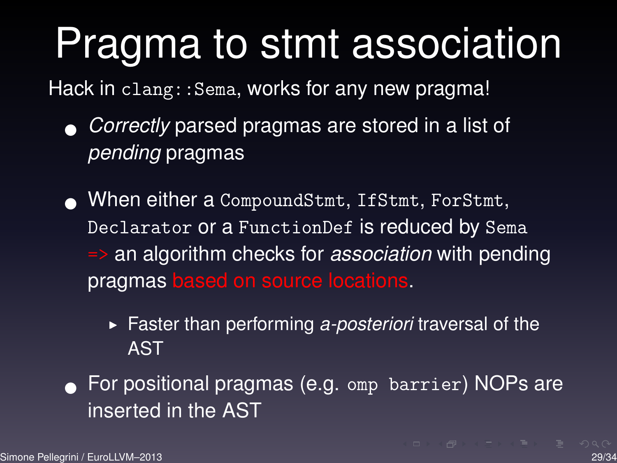# Pragma to stmt association

Hack in clang::Sema, works for any new pragma!

- *Correctly* parsed pragmas are stored in a list of *pending* pragmas
- When either a CompoundStmt, IfStmt, ForStmt, Declarator or a FunctionDef is reduced by Sema => an algorithm checks for *association* with pending pragmas based on source locations.
	- **Faster than performing a-posteriori traversal of the** AST

• For positional pragmas (e.g. omp barrier) NOPs are inserted in the AST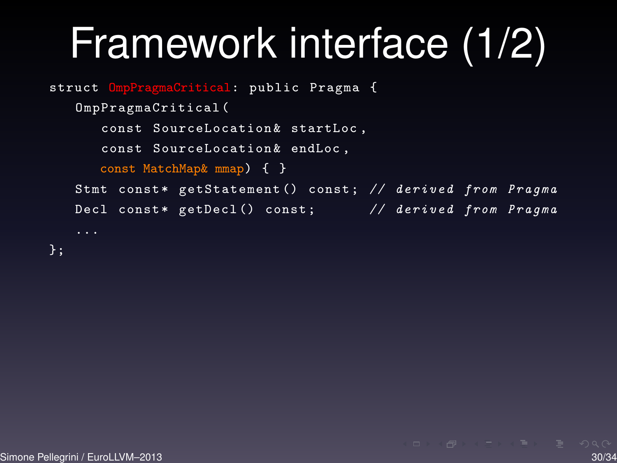# Framework interface (1/2)

```
struct OmpPragmaCritical: public Pragma {
   OmpPragmaCritical (
      const SourceLocation & startLoc ,
      const SourceLocation & endLoc ,
      const MatchMap& mmap) { }
   Stmt const* getStatement () const; // derived from Pragma
   Decl const* getDecl() const; // derived from Pragma
   ...
};
```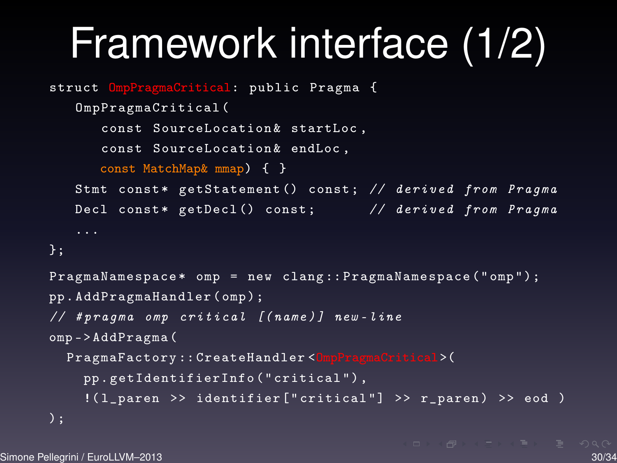# Framework interface (1/2)

```
struct OmpPragmaCritical: public Pragma {
   OmpPragmaCritical (
      const SourceLocation & startLoc ,
      const SourceLocation & endLoc ,
      const MatchMap& mmap) { }
   Stmt const* getStatement () const; // derived from Pragma
   Decl const* getDecl() const; // derived from Pragma
   ...
};
PragmaNamespace* omp = new clang:: PragmaNamespace ("omp");
pp . AddPragmaHandler ( omp );
// # pragma omp critical [( name )] new - line
omp -> AddPragma (
  PragmaFactory:: CreateHandler<DmpPragmaCritical>(
    pp . getIdentifierInfo ( " critical ") ,
    !(1 paren >> identifier ["critical"] >> r paren) >> eod )
);
```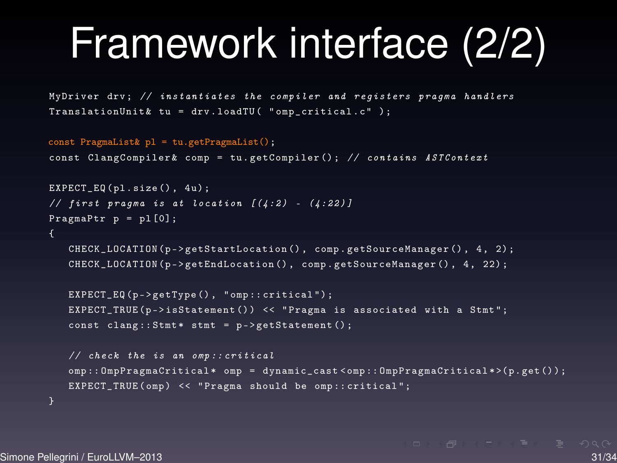# Framework interface (2/2)

```
MyDriver drv: // instantiates the compiler and registers pragma handlers
TranslationUnit & tu = drv.loadTU( "omp_critical.c" );
```

```
const PragmaList& pl = tu.getPragmaList();
const ClangCompiler & comp = tu.getCompiler (); // contains ASTContext
EXPECT EQ ( p1 . size (), 4u) ;
// first pragma is at location [(4:2) - (4:22)]PragmaPtr p = pl [0];
   CHECK_LOCATION (p->getStartLocation (), comp.getSourceManager (), 4, 2);
   CHECK_LOCATION (p->getEndLocation (), comp.getSourceManager (), 4, 22);
   EXPECT_EQ(p->getType(), "omp::critical");
   EXPECT_TRUE (p -> isStatement ()) << " Pragma is associated with a Stmt":
   const clang:: Start * stmt = p - > getStatement();
   // check the is an omp :: critical
   omp :: OmpPragmaCritical * omp = dynamic_cast < omp :: OmpPragmaCritical * >( p. get () ) ;
   EXPECT TRUE ( omp ) << " Pragma should be omp :: critical" :
```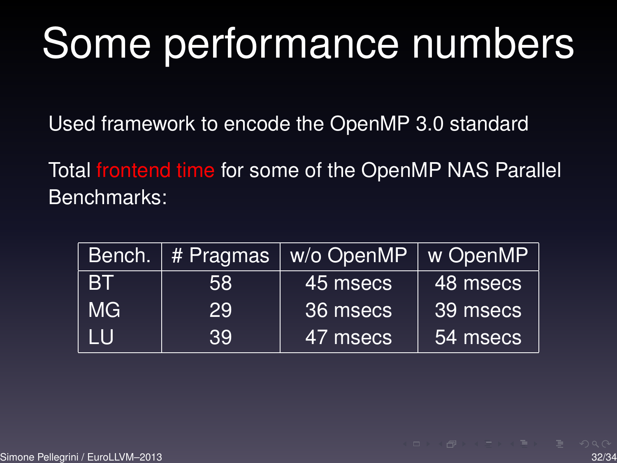# Some performance numbers

Used framework to encode the OpenMP 3.0 standard

Total frontend time for some of the OpenMP NAS Parallel Benchmarks:

|     | Bench.   # Pragmas | w/o OpenMP | w OpenMP |
|-----|--------------------|------------|----------|
| -BT | 58                 | 45 msecs   | 48 msecs |
| MG. | 29                 | 36 msecs   | 39 msecs |
| TU  | 39                 | 47 msecs   | 54 msecs |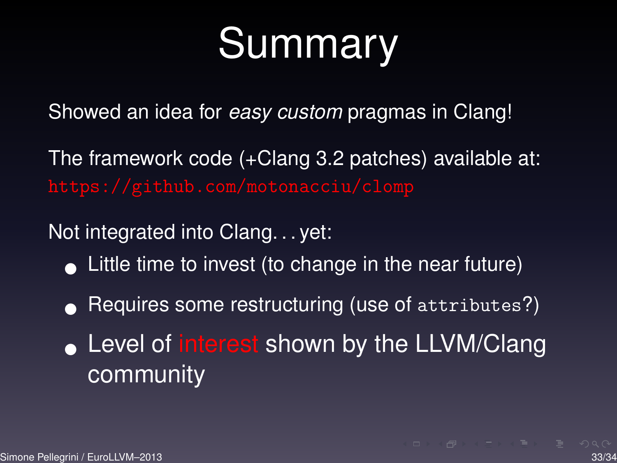# **Summary**

Showed an idea for *easy custom* pragmas in Clang!

The framework code (+Clang 3.2 patches) available at:

Not integrated into Clang. . . yet:

- Little time to invest (to change in the near future)
- Requires some restructuring (use of attributes?)
- Level of interest shown by the LLVM/Clang community